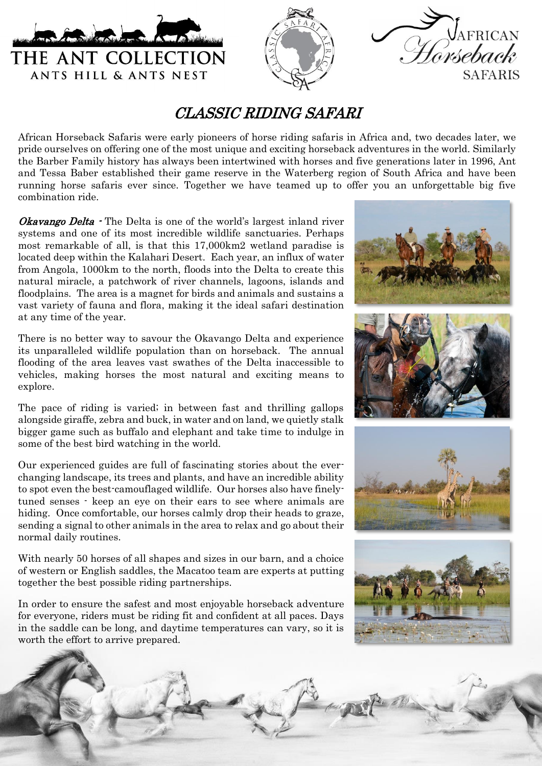





## CLASSIC RIDING SAFARI

African Horseback Safaris were early pioneers of horse riding safaris in Africa and, two decades later, we pride ourselves on offering one of the most unique and exciting horseback adventures in the world. Similarly the Barber Family history has always been intertwined with horses and five generations later in 1996, Ant and Tessa Baber established their game reserve in the Waterberg region of South Africa and have been running horse safaris ever since. Together we have teamed up to offer you an unforgettable big five combination ride.

Okavango Delta - The Delta is one of the world's largest inland river systems and one of its most incredible wildlife sanctuaries. Perhaps most remarkable of all, is that this 17,000km2 wetland paradise is located deep within the Kalahari Desert. Each year, an influx of water from Angola, 1000km to the north, floods into the Delta to create this natural miracle, a patchwork of river channels, lagoons, islands and floodplains. The area is a magnet for birds and animals and sustains a vast variety of fauna and flora, making it the ideal safari destination at any time of the year.

There is no better way to savour the Okavango Delta and experience its unparalleled wildlife population than on horseback. The annual flooding of the area leaves vast swathes of the Delta inaccessible to vehicles, making horses the most natural and exciting means to explore.

The pace of riding is varied; in between fast and thrilling gallops alongside giraffe, zebra and buck, in water and on land, we quietly stalk bigger game such as buffalo and elephant and take time to indulge in some of the best bird watching in the world.

Our experienced guides are full of fascinating stories about the everchanging landscape, its trees and plants, and have an incredible ability to spot even the best-camouflaged wildlife. Our horses also have finelytuned senses - keep an eye on their ears to see where animals are hiding. Once comfortable, our horses calmly drop their heads to graze, sending a signal to other animals in the area to relax and go about their normal daily routines.

With nearly 50 horses of all shapes and sizes in our barn, and a choice of western or English saddles, the Macatoo team are experts at putting together the best possible riding partnerships.

In order to ensure the safest and most enjoyable horseback adventure for everyone, riders must be riding fit and confident at all paces. Days in the saddle can be long, and daytime temperatures can vary, so it is worth the effort to arrive prepared.

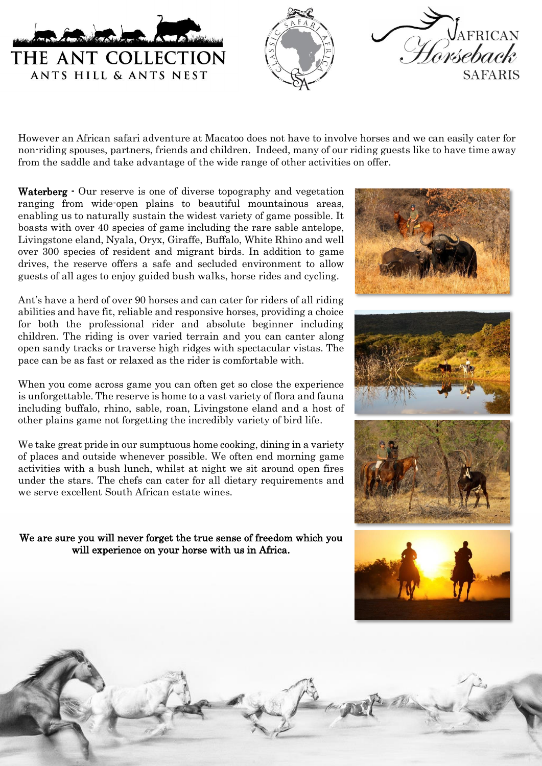





However an African safari adventure at Macatoo does not have to involve horses and we can easily cater for non-riding spouses, partners, friends and children. Indeed, many of our riding guests like to have time away from the saddle and take advantage of the wide range of other activities on offer.

Waterberg - Our reserve is one of diverse topography and vegetation ranging from wide-open plains to beautiful mountainous areas, enabling us to naturally sustain the widest variety of game possible. It boasts with over 40 species of game including the rare sable antelope, Livingstone eland, Nyala, Oryx, Giraffe, Buffalo, White Rhino and well over 300 species of resident and migrant birds. In addition to game drives, the reserve offers a safe and secluded environment to allow guests of all ages to enjoy guided bush walks, horse rides and cycling.

Ant's have a herd of over 90 horses and can cater for riders of all riding abilities and have fit, reliable and responsive horses, providing a choice for both the professional rider and absolute beginner including children. The riding is over varied terrain and you can canter along open sandy tracks or traverse high ridges with spectacular vistas. The pace can be as fast or relaxed as the rider is comfortable with.

When you come across game you can often get so close the experience is unforgettable. The reserve is home to a vast variety of flora and fauna including buffalo, rhino, sable, roan, Livingstone eland and a host of other plains game not forgetting the incredibly variety of bird life.

We take great pride in our sumptuous home cooking, dining in a variety of places and outside whenever possible. We often end morning game activities with a bush lunch, whilst at night we sit around open fires under the stars. The chefs can cater for all dietary requirements and we serve excellent South African estate wines.

We are sure you will never forget the true sense of freedom which you will experience on your horse with us in Africa.